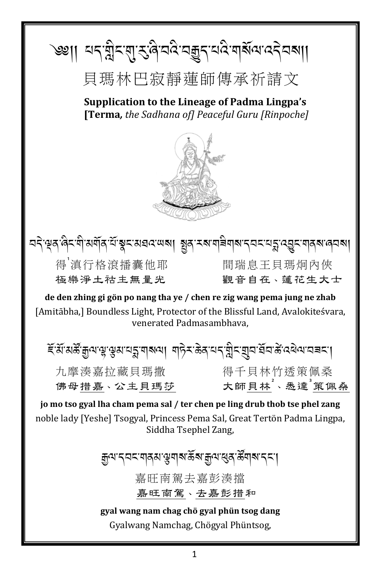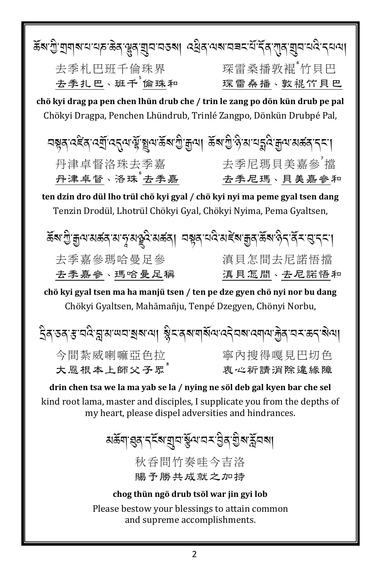| ক্লিগ্ৰীয়েশম'মাদ্ৰ'ক্তিৰ'শ্লুৰ'য়ুম'মতৰা ব্ৰেৰ'অৰ'মৰম'ৰ্ম'ৰ্বি'য়ুৰ'মুম'মবি'নম্পা                                               |            |  |
|----------------------------------------------------------------------------------------------------------------------------------|------------|--|
| 去季札巴班千倫珠界                                                                                                                        | 琛雷桑播敦裩"竹貝巴 |  |
| 去季扎巴、班千 <sup>°</sup> 倫珠和                                                                                                         | 琛雷桑播、敦裩竹貝巴 |  |
| chö kyi drag pa pen chen lhün drub che / trin le zang po dön kün drub pe pal                                                     |            |  |
| Chökyi Dragpa, Penchen Lhündrub, Trinlé Zangpo, Dönkün Drubpé Pal,                                                               |            |  |
| <u> নম্বুৰ্ত্ত্ বৰ্হিৰ ত্মীত্ৰ্ব্য উৰ্মুৰ্শ্বিৰ অন্য উৰ্মুৰ্শ্ব উৰ্মুল্ট বুৰ্ত্ত্বিৰ বিদ্যালয়ৰ বিদ্যা</u>                       |            |  |
| 丹津卓督洛珠去季嘉                                                                                                                        | 去季尼瑪貝美嘉參猫  |  |
| 丹津卓督、洛珠"去季嘉                                                                                                                      | 去季尼瑪、貝美嘉參和 |  |
| ten dzin dro dül lho trül chö kyi gyal / chö kyi nyi ma peme gyal tsen dang                                                      |            |  |
| Tenzin Drodül, Lhotrül Chökyi Gyal, Chökyi Nyima, Pema Gyaltsen,                                                                 |            |  |
| ॾॺॱॻॖऀॱक़ॗॺॱॺॾ॔ॺॱॺॱॸॄॱॺढ़ॗॺऀॱॺॾ॔ॺऻॖॱय़ॺॣॺॱय़ॺऀॱॺॾॕॺॱक़ॗॺॱ <sup>ढ़ॖ</sup> ॺॱॺऀॸॱॺॕॖ <i>ॸॱ</i> ख़ॱॸॸॱॎ                             |            |  |
| 去季嘉參瑪哈曼足參                                                                                                                        | 滇貝怎間去尼諾悟擋  |  |
| 去季嘉參、瑪哈曼足稱                                                                                                                       | 滇貝怎間、去尼諾悟和 |  |
| chö kyi gyal tsen ma ha manjü tsen / ten pe dze gyen chö nyi nor bu dang                                                         |            |  |
| Chökyi Gyaltsen, Mahāmañju, Tenpé Dzegyen, Chönyi Norbu,                                                                         |            |  |
| ইৰ তৰ স্ক'ন্নই মুখ অনস্থৰ আৰু ষ্ট্ৰীম ৰোমাৰ্মিয় বেইনৰ বেমায়েট্ৰী নাম স্কুৰ বিদ্যা                                              |            |  |
| 今間紮威喇嘛亞色拉                                                                                                                        | 寧內搜得嘎見巴切色  |  |
| 大恩根本上師父子眾                                                                                                                        | 衷心祈請消除違緣障  |  |
| drin chen tsa we la ma yab se la / nying ne söl deb gal kyen bar che sel                                                         |            |  |
| kind root lama, master and disciples, I supplicate you from the depths of<br>my heart, please dispel adversities and hindrances. |            |  |
| য়ড়ৢ৶ৼৗৼৄৼৄ৻৸য়ৗ৸৻ঽ৾৻৸৻৸৴৻ঀৢ৶৻য়ৄ৸৻ৼ                                                                                            |            |  |

秋呑問竹奏哇今吉洛 賜予勝共成就之加持

#### chog thün ngö drub tsöl war jin gyi lob

Please bestow your blessings to attain common and supreme accomplishments.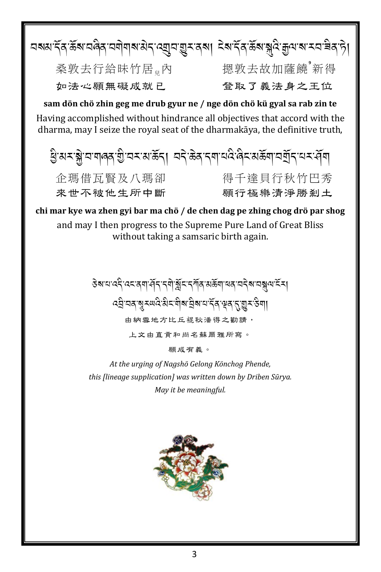

願成有義。

At the urging of Nagshö Gelong Könchog Phende, this flineage supplication] was written down by Driben Sūrya. May it be meaningful.

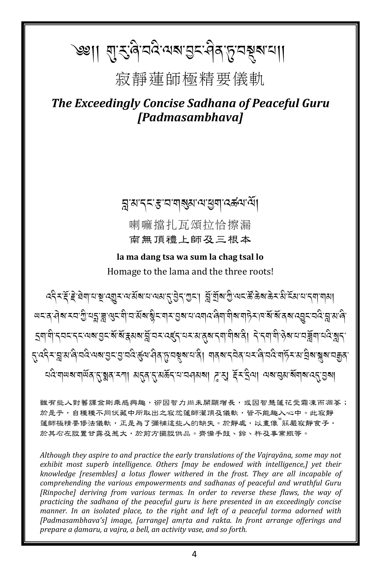# `৩ঃ।। ଶ୍ୱୀ-ଟିଜ୍ୟିୟାୟାସ୍ତିୟ ନିର୍ଯ୍ୟ ଅକ୍ଷ୍ୟାଣା।

## 寂靜蓮師極精要儀軌

The Exceedingly Concise Sadhana of Peaceful Guru [Padmasambhava]

ङ्गासाद्रदादाबाञ्ज्ञालाञ्चलादर्श्वराली

喇嘛擋扎瓦頌拉恰擦漏 南無頂禮上師及三根本

la ma dang tsa wa sum la chag tsal lo Homage to the lama and the three roots!

५६ र दें हे बेग पन्नु खूर पार्श्व पायवार हेर गुरा। ब्लें गुला कुमुन्न पुरुष के पायर से स्वादा पाया <u>लद्दासेश्वरचारी तेर्ये थे लद्दासुद्धासुराश्रेदार्यास्थिति तथात्रात्रासुराण्ये साहेराज्ञासुराज्ञानुसाही साहे त</u> {{द्दे×ञ्जयाले'चदे'अबाडु<'डु'चदे'कुॅ्य'सेव'हाघ्नूबाय'वे। गवबाद्वेव'यर'ले'चदे'गर्छेरायांचेबाञ्जबाचक्कुव ব্বেশ্বলে আৰু প্ৰায় আৰু প্ৰায় কৰি বিদ্যালয় আৰু বিদ্যালয় স্থানী প্ৰায় কৰি বিদ্যালয় বিদ্যালয় বিদ্যালয় বি

雖有些人對舊譯金剛乘感興趣,卻因智力尚未開顯增長,或因智慧蓮花受霜凍而凋萎; 於是乎,自種種不同伏藏中所取出之寂忿蓮師灌頂及儀軌,皆不能趣入心中。此寂靜 蓮師極精要修法儀軌,正是為了彌補這些人的缺失。於靜處,以畫像<sup>"</sup>莊嚴寂靜食子, 於其右左設置甘露及惹大,於前方擺設供品。齊備手鼓、鈴、杵及事業瓶等。

Although they aspire to and practice the early translations of the Vajrayāna, some may not exhibit most superb intelligence. Others [may be endowed with intelligence,] yet their knowledge [resembles] a lotus flower withered in the frost. They are all incapable of comprehending the various empowerments and sadhanas of peaceful and wrathful Guru [Rinpoche] deriving from various termas. In order to reverse these flaws, the way of practicing the sadhana of the peaceful guru is here presented in an exceedingly concise manner. In an isolated place, to the right and left of a peaceful torma adorned with [Padmasambhava's] image, [arrange] amrta and rakta. In front arrange offerings and prepare a damaru, a vajra, a bell, an activity vase, and so forth.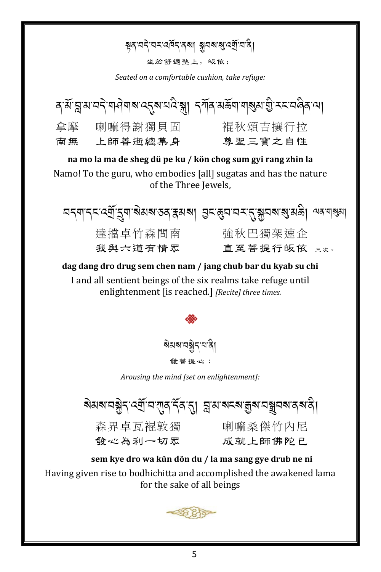### ম্বনেই অসমৰ্থিত আৰু মানৰ প্ৰতিষ্ঠা

坐於舒適墊上,皈依:

Seated on a comfortable cushion, take refuge:

|    |         | ব্ মঁ ন্লু ম'ন্দ্ৰ শৰ্ণীৰাৰ ব্ৰেৰ'নৰ স্থা দৰ্শৰ মঙ্কৰা শৰ্ষম গ্ৰী সমন্বৰ্ত্তি আ |
|----|---------|---------------------------------------------------------------------------------|
| 拿摩 | 喇嘛得謝獨貝固 | 裩秋頌吉攘行拉                                                                         |
| 面無 | 上師善逝總集身 | 尊聖三寶之自性                                                                         |

na mo la ma de sheg dü pe ku / kön chog sum gyi rang zhin la Namo! To the guru, who embodies [all] sugatas and has the nature of the Three Jewels.

| নন্দান্ন বেৰ্মাত্ত্ৰশাৰীমৰ তৰাষ্ক্ৰমৰা মন্ত্ৰৰ অৱস্থা আৰু নিৰ্বাৰ্থী |           |  |
|----------------------------------------------------------------------|-----------|--|
| 達擋卓竹森間南                                                              | 強秋巴獨架速企   |  |
| 我 與 六 道 有 情 眾                                                        | 直至菩提行皈依 ﷺ |  |

dag dang dro drug sem chen nam / jang chub bar du kyab su chi I and all sentient beings of the six realms take refuge until enlightenment [is reached.] [Recite] three times.

<u> จิมจ สุร</u>รม

發菩提心:

Arousing the mind [set on enlightenment]:

য়য়য়ৼঢ়ৠৢৼ৻ৼয়ৗৢৼ৻৻ঀৗৼ৻ৼ৻৸৸৸ৼ৻৸৸৸ৼ৻৸৸৸ৼ৻৸৸৸ৼ৻৸৸৸ৼ৻৸৸৸৸৸৸৸৸৸

發心為利一切眾

森界卓瓦裩敦獨刺嘛桑傑竹內尼 成就上師佛陀尸

sem kye dro wa kün dön du / la ma sang gye drub ne ni Having given rise to bodhichitta and accomplished the awakened lama for the sake of all beings

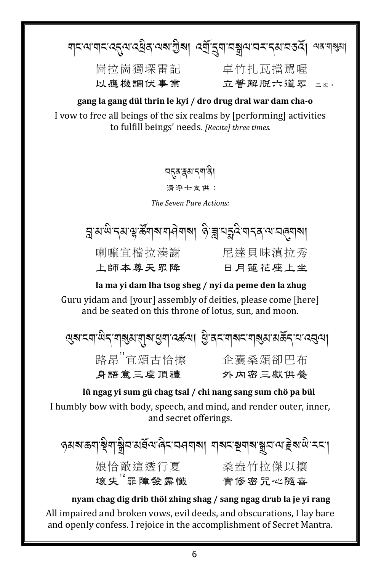য়ৼ৻য়য়ৼ৻ঽঀৢ৻য়৻ঽ৾৾য়৾৾ঽ৻৻য়৶ৢ৾৶৻৸ড়য়৾ৼয়৸ৼয়৸৸ৼ৸৸৸৸৸৸৸৸৸৸৸ 崗拉崗獨琛雷記 卓竹扎瓦擋駕喔 立誓解脱六道眾 三次。 以應機調伏事業

gang la gang dül thrin le kyi / dro drug dral war dam cha-o I vow to free all beings of the six realms by [performing] activities to fulfill beings' needs. [Recite] three times.

## ন্দৰস্কৰ্মনশৰী

清淨七支供:

The Seven Pure Actions:



### la ma yi dam lha tsog sheg / nyi da peme den la zhug

Guru vidam and [vour] assembly of deities, please come [here] and be seated on this throne of lotus, sun, and moon.

ন্মৰাম্নাঞ্চিন ৰাৰ্ষ্মান্মৰা স্ত্ৰান্ত কৰা। শ্ৰীৰমানাৰ মাৰ্ষমা স্তৰ্কিন মাৰ্ষ্মা 路昂"宜頌古恰擦 企囊桑頌卻巴布 身語意三虔頂禮 外内密三獻供養

lü ngag yi sum gü chag tsal / chi nang sang sum chö pa bül I humbly bow with body, speech, and mind, and render outer, inner, and secret offerings.

ওপৰা প্ৰান্তিৰাস্থ্ৰী অপৰ্যন্ত বিশেষৰ প্ৰাৰ্থ আৰু প্ৰাৰ্থ প্ৰাৰ্থ প্ৰাৰ্থ প্ৰাৰ্থ কৰা 娘恰敵這透行夏 桑盎竹拉傑以攘<br>壞失"罪障發露懺 實修密咒心隨喜

nyam chag dig drib thöl zhing shag / sang ngag drub la je yi rang All impaired and broken vows, evil deeds, and obscurations, I lay bare and openly confess. I rejoice in the accomplishment of Secret Mantra.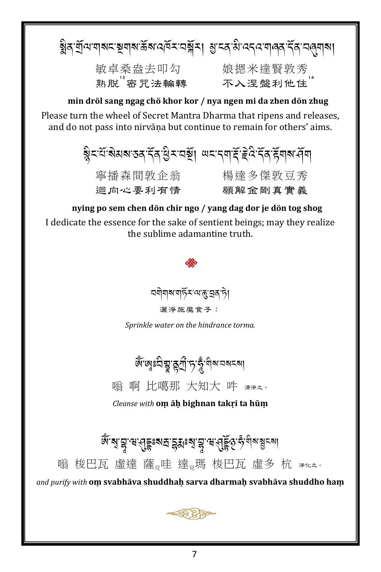ৰ্ষ্ণবাৰ্মিৰ স্থাৰ স্থায় স্পৰ্শ কৰি পৰি বিদ্যালয়ৰ স্পৰ্শ কৰি স্পৰ্শ কৰি 敏卓桑盎去叩勾 娘摁米達賢敦秀<br>熟脫"密咒法輪轉 不入涅盤利他住"

min dröl sang ngag chö khor kor / nya ngen mi da zhen dön zhug

Please turn the wheel of Secret Mantra Dharma that ripens and releases, and do not pass into nirvāna but continue to remain for others' aims.

> য়ৢৼৼ৾৽য়য়য়ৼড়৻ৼৄ৻ৼ৻ড়৸ৼঢ়য়৾ঢ়ঢ়৸ৼৼড়৻৸ৼ৻ড়৸ৼ৻ড়৸ 寧播森間敦企翁 楊達多傑敦豆秀 迴向心要利有情 願解余剛直實義

nying po sem chen dön chir ngo / yang dag dor je dön tog shog I dedicate the essence for the sake of sentient beings; may they realize the sublime adamantine truth.



Sprinkle water on the hindrance torma.

জ্ঞান্তঃহীষ্ণু ব্লুৰ্শ্ৰীণ্য ক্ষুমীৰ অৱৰুৱা

嗡 啊 比噶那 大知大 吽 清净之。

Cleanse with om ah bighnan takri ta hūm

জ্ঞান্ম: ই. এ. বিষ্টিঃ প্রাইয়ে প্রাইন্স, বিষ্টু প্রিয়া বিষ্টা বিষ্টা বিষ্টা বিষ্টা বিষ্টা বিষ্টা বিষ্টা বিষ্ট 嗡 梭巴瓦 虛達 薩 哇 達 瑪 梭巴瓦 虛多 杭 新比。

and purify with om svabhāva shuddhaḥ sarva dharmaḥ svabhāva shuddho haṃ

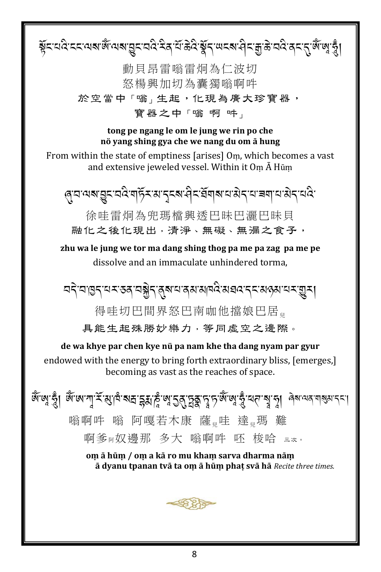য়ৄ৾ৼৼঢ়৻ৼৼৼৗ৻৸ৼ৻ড়৻ৼয়ৼঢ়ঀৼ৻৸ৼ৻ড়৻৸ৼঢ়ৼঢ়৻ড়৻ৼ৻৸ৼঀ৸ৼঀ৸ৼ৻৸৻৸ৼ৻ৼ৻ৼ৻ৼ৻ৼ৻ 動貝昂雷嗡雷炯為仁波切 怒楊興加切為囊獨嗡啊吽 於空當中「嗡」生起,化現為廣大珍寶器, 寶器之中「嗡啊吽」 tong pe ngang le om le jung we rin po che nö yang shing gya che we nang du om ā hung From within the state of emptiness [arises] Om, which becomes a vast and extensive jeweled vessel. Within it  $Om \overline{A}$  Hūm ৻ঀয়ড়য়য়ৢৄৼয়ঽয়ড়ৼয়ৼৢৼয়ৼঀৼয়ঀয়য়য়য়য়৸য়য়ঀড়য় 徐哇雷炯為兜瑪檔興诱巴昧巴灑巴昧貝 融化之後化現出,清淨、無礙、無漏之食子, zhu wa le jung we tor ma dang shing thog pa me pa zag pa me pe dissolve and an immaculate unhindered torma. ¤देॱय़ॱॺॖॖॸॱय़ॸॱॶॺॱय़ऄॢॸॱॺॣॺॱय़ॱॺॺॱॴॺऀढ़ॱॺख़ढ़ॱॸॸॱॺढ़ॺॱय़ॸॱॼॗॸऻ 得哇切巴間界怒巴南咖他擋娘巴居。 具能生起殊勝妙樂力,等同虛空之邊際。 de wa khye par chen kye nü pa nam khe tha dang nyam par gyur endowed with the energy to bring forth extraordinary bliss, [emerges,] becoming as vast as the reaches of space. <u>ঝুঁ</u> জাঁ হুঁ। ঝু.নে.പাঁ,<u>≠্</u>পাদ্,ন্সম্ৰ.ইপ্ৰাষ্ট্ৰ,ন্ট্ৰ শ্ৰীষ্ট্ৰ,দ্ৰীয় ভ্ৰাৰ্থ, ই.লেএ এৰি.লেৰ নাৰ্ল, বৰা 嗡啊吽 嗡 阿嘎若木康 薩 哇 達 瑪 難 啊爹丽奴邊那 多大 嗡啊吽 呸 梭哈 三次。 om ā hūm / om a kā ro mu kham sarva dharma nām ā dyanu tpanan tvā ta om ā hūm phat svā hā Recite three times.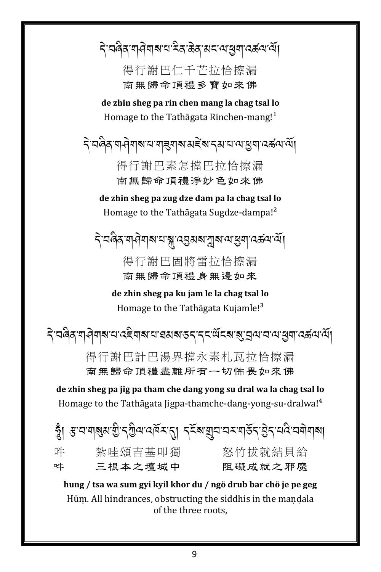दे वल्रे बाने वाद्यां देव केव सवाराषु वक्ष्य सें। .<br>.<br>. .<br>A

> 得行謝巴仁千芒拉恰擦漏 南無歸命頂禮多寶如來佛

**de zhin sheg pa rin chen mang la chag tsal lo** Homage to the Tathāgata Rinchen-mang!<sup>1</sup>

दे व्ववेद गयेवाब व बङ्गबारा अङ्बर द्वाद्य व्यञ्जन व्यञ्जन .<br>.

> 得行謝巴素怎擋巴拉恰擦漏 南無歸命頂禮淨妙色如來佛

**de zhin sheg pa zug dze dam pa la chag tsal lo** Homage to the Tathāgata Sugdze-dampa!²

दे वल्रे वाने वालाय आयुराज्य प्राप्त के देश का .<br>.

> 得行謝巴固將雷拉恰擦漏 南無歸命頂禮身無邊如來

**de zhin sheg pa ku jam le la chag tsal lo** Homage to the Tathāgata Kujamle!<sup>3</sup>

दे वल्रे वाने वाद्यां व्यव्यवाद्या कार्या प्रदेश के स्वत्य कार्या कार्या कार्या कार्या .<br>. .<br>.<br>.

> 得行謝巴計巴湯界擋永素札瓦拉恰擦漏 南無歸命頂禮盡離所有一切怖畏如來佛

**de zhin sheg pa jig pa tham che dang yong su dral wa la chag tsal lo** Homage to the Tathāgata Jigpa-thamche-dang-yong-su-dralwa!<sup>4</sup>

| 吽                                                                 | 紮哇頌吉基叩獨 | 怒竹拔就結貝給 |
|-------------------------------------------------------------------|---------|---------|
| 吽                                                                 | 三根本之壇城中 | 阻礙成就之邪魔 |
| hung / teo wa sum gyi lzyil lzhor du / ngô druh har chô jo no gog |         |         |

**hung / tsa wa sum gyi kyil khor du / ngö drub bar chö je pe geg** Hūm. All hindrances, obstructing the siddhis in the mandala of the three roots,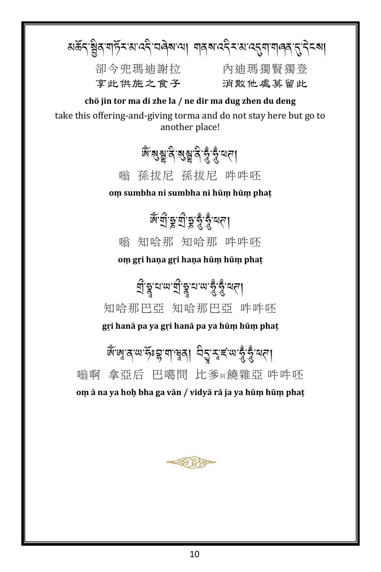अर्केन ञ्जैव गर्छि स्वादनै चलेबात्रा मावबादनै सवादनुमामालव नुनिच्बा .<br>. A<br>A

享此供施之食子 消散他處莫留此

卻今兜瑪迪謝拉 內迪瑪獨賢獨登

**chö jin tor ma di zhe la / ne dir ma dug zhen du deng** take this offering-and-giving torma and do not stay here but go to another place!

## ৰ্জন্মশ্লুৰ্ন ৰম্ভ্ৰুৰ্ন ক্ষু ক্ষু অন্য

嗡 孫拔尼 孫拔尼 吽吽呸

**oṃ sumbha ni sumbha ni hūṃ hūṃ phaṭ**

# <u>ભૂત્રી કૈ*ર્યુ* ફ્રેંડ્</u>રૂં.<sub>લ</sub>ા

嗡 知哈那 知哈那 吽吽呸

**oṃ gṛi haṇa gṛi haṇa hūṃ hūṃ phaṭ**

ब्रु.चै.च.<sub>ल.ब्र</sub>ै.चै.च<sup>ू</sup>। 知哈那巴亞 知哈那巴亞 吽吽呸

**gṛi hanā pa ya gṛi hanā pa ya hūṃ hūṃ phaṭ**

َّ الْمَلَامِ الْمَجْمَعِينَ مِنْ الْمَجْمَعِينَ مِنْ الْمَجْمَع A

嗡啊 拿亞后 巴噶問 比爹阿饒雜亞 吽吽呸 **oṃ ā na ya hoḥ bha ga vān / vidyā rā ja ya hūṃ hūṃ phaṭ**

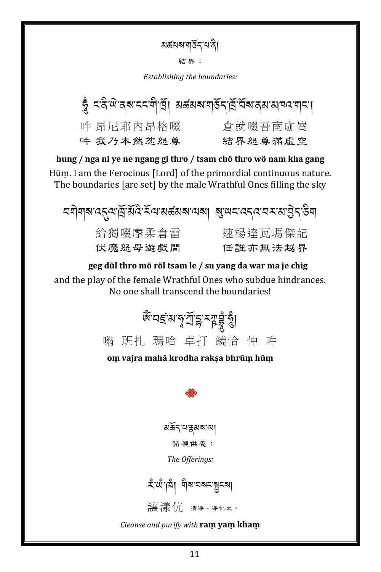য়র্ক্তমহ্মত্মইন্মেন্বি।

結界:

Establishing the boundaries:

| ভ্ৰু  <জিঞ্চ ৰম হৰ্মদাৰ্ঘ্য । মৰ্জ্ঞমম নাৰ্ভৰ দ্ৰি অৰ্জন আৰু ৰামণ |         |
|-------------------------------------------------------------------|---------|
| 吽 昂尼耶內昂格啜                                                         | 倉就啜吾南咖崗 |
| 吽 我乃本然忿怒尊                                                         | 結界怒尊滿虛空 |

hung / nga ni ye ne ngang gi thro / tsam chö thro wö nam kha gang Hūm. I am the Ferocious [Lord] of the primordial continuous nature. The boundaries [are set] by the male Wrathful Ones filling the sky

$$
\begin{array}{rcl}\n\text{Tr}[\text{Var}(\mathbf{X}_0^T\mathbf{X}_0^T\mathbf{X}_0^T\mathbf{X}_0^T\mathbf{X}_0^T\mathbf{X}_0^T\mathbf{X}_0^T\mathbf{X}_0^T\mathbf{X}_0^T\mathbf{X}_0^T\mathbf{X}_0^T\mathbf{X}_0^T\mathbf{X}_0^T\mathbf{X}_0^T\mathbf{X}_0^T\mathbf{X}_0^T\mathbf{X}_0^T\mathbf{X}_0^T\mathbf{X}_0^T\mathbf{X}_0^T\mathbf{X}_0^T\mathbf{X}_0^T\mathbf{X}_0^T\mathbf{X}_0^T\mathbf{X}_0^T\mathbf{X}_0^T\mathbf{X}_0^T\mathbf{X}_0^T\mathbf{X}_0^T\mathbf{X}_0^T\mathbf{X}_0^T\mathbf{X}_0^T\mathbf{X}_0^T\mathbf{X}_0^T\mathbf{X}_0^T\mathbf{X}_0^T\mathbf{X}_0^T\mathbf{X}_0^T\mathbf{X}_0^T\mathbf{X}_0^T\mathbf{X}_0^T\mathbf{X}_0^T\mathbf{X}_0^T\mathbf{X}_0^T\mathbf{X}_0^T\mathbf{X}_0^T\mathbf{X}_0^T\mathbf{X}_0^T\mathbf{X}_0^T\mathbf{X}_0^T\mathbf{X}_0^T\mathbf{X}_0^T\mathbf{X}_0^T\mathbf{X}_0^T\mathbf{X}_0^T\mathbf{X}_0^T\mathbf{X}_0^T\mathbf{X}_0^T\mathbf{X}_0^T\mathbf{X}_0^T\mathbf{X}_0^T\mathbf{X}_0^T\mathbf{X}_0^T\mathbf{X}_0^T\mathbf{X}_0^T\mathbf{X}_0^T\mathbf{X}_0^T\mathbf{X}_0^T\mathbf{X}_0^T\mathbf{X}_0^T\mathbf{X}_0^T\mathbf{X}_0^T\mathbf{X}_0^T\mathbf{X}_0^T\mathbf{X}_0^T\mathbf{X}_0^T\mathbf{X}_0^T\mathbf{X}_0^T\mathbf{X}_0^T\mathbf{X}_0^T\mathbf{X}_0^T\mathbf{X}_0^T\
$$

geg dül thro mö röl tsam le / su yang da war ma je chig and the play of the female Wrathful Ones who subdue hindrances. No one shall transcend the boundaries!



om vajra mahā krodha rakşa bhrūm hūm



মর্ক্তন্'ম'হ্রমব্ম'মে৷ 諸種供養:

The Offerings:

讓漾伉 清淨、淨化之。

Cleanse and purify with ram yam kham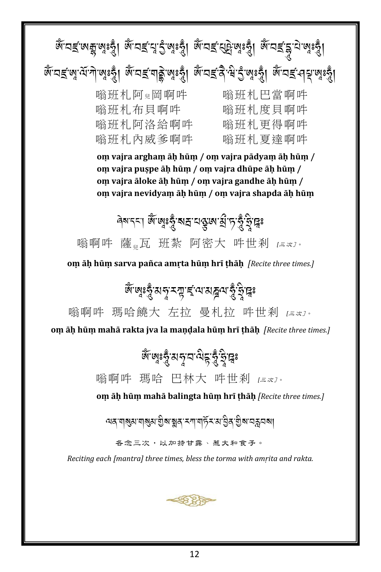ধ্যমই পেন্দ্ৰ জন্ম প্ৰতি আৰু প্ৰতি আৰু প্ৰতি আৰু প্ৰতি আৰু পৰি প্ৰতি আৰু পৰি পৰি পৰি পৰি পৰি পৰি পৰি পৰি পৰি প জ্তাবৰ্ জৰ্ম, বুলিজি জুৰি জ্ঞানৰ প্ৰতি জিৱাৰ স্থাপনী জুৰি জ্ঞানৰ স্থাপনী 嗡班札阿兒岡啊吽 嗡班札巴當啊吽 嗡班札布貝啊吽 嗡班札度貝啊吽 嗡班札阿洛給啊吽 嗡班札更得啊吽 嗡班札內威爹啊吽 嗡班札夏達啊吽 **oṃ vajra arghaṃ āḥ hūṃ / oṃ vajra pādyaṃ āḥ hūṃ / oṃ vajra puṣpe āḥ hūṃ / oṃ vajra dhūpe āḥ hūṃ / oṃ vajra āloke āḥ hūṃ / oṃ vajra gandhe āḥ hūṃ / oṃ vajra nevidyaṃ āḥ hūṃ / oṃ vajra shapda āḥ hūṃ** <mark>લેચાર્ટર.</mark> ભૂત્રો જ્ઞિકર્<mark>ટ્રી. અર્</mark> 嗡啊吽 薩<sub>』</sub>瓦 班紮 阿密大 吽世刹 [三次]。 **oṃ āḥ hūṃ sarva pañca amṛta hūṃ hrī ṭhāḥ** *[Recite three times.]* &্*ন্নঃভ্ৰুপ্ৰব্ৰমন্মৰ* কৰি বিভিন্ন কৰি বিভি 嗡啊吽 瑪哈饒大 左拉 曼札拉 吽世剎 *[*三次]。 **oṃ āḥ hūṃ mahā rakta jva la maṇḍala hūṃ hrī ṭhāḥ** *[Recite three times.]* જિલ્લુકર્<mark>દ</mark>ુ: અન્ય નોર્વ્ય કર્યું છે.<br>જિલ્લા અને તાલુકર્ i<br>A 嗡啊吽 瑪哈 巴林大 吽世剎 *[*三次]。 **oṃ āḥ hūṃ mahā balingta hūṃ hrī ṭhāḥ** *[Recite three times.]* অৰ্ণবাৰ্ষ্ণাৰ্য্য মুঠাৰ স্থাৰ স্পানৰ্দি সমান্তিৰ স্থান স্কুলৰ বি 各念三次,以加持甘露、惹大和食子。 *Reciting each [mantra] three times, bless the torma with amṛita and rakta.*2835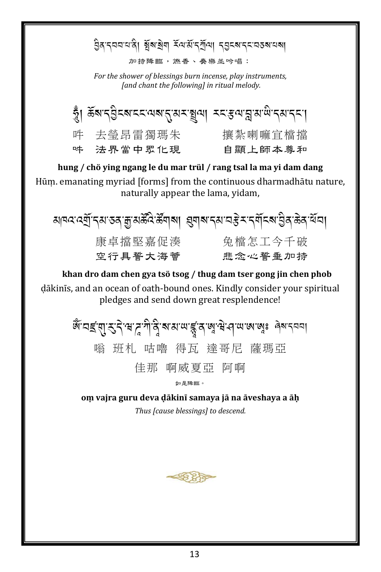වූ বার্ত্ত বার্ত্ত সূত্র বুলি বুলি বিষ্টা বিষ্টা বিষ্টা বিষ্টা বিষ্টা বিষ্টা বিষ্টা বিষ্টা বিষ্টা বি

加持降臨,燃香、奏樂並吟唱:

For the shower of blessings burn incense, play instruments, [and chant the following] in ritual melody.



hung / chö ying ngang le du mar trül / rang tsal la ma yi dam dang Hūm. emanating myriad [forms] from the continuous dharmadhātu nature, naturally appear the lama, yidam,

ঋষৰ ৰ্য্যু নম তৰ ক্ৰুমৰ্ক্ষৰ ৰামা প্ৰমাৰ প্ৰমান্ত সম্পৰ্ক প্ৰতি ক্ৰিয় বুধ 空行具誓大海薈 悲念心誓垂加持

khan dro dam chen gya tsö tsog / thug dam tser gong jin chen phob dākinīs, and an ocean of oath-bound ones. Kindly consider your spiritual pledges and send down great resplendence!

> क्रि.घइ.सी. दो. स. पे. यु. स. श. ल. डि. प्रो. स. चे. तो ल. ले ब्रा. से नवा 嗡 班札 咕嚕 得瓦 達哥尼 薩瑪亞 佳那 啊威夏亞 阿啊 如是降臨。

om vajra guru deva dākinī samaya jā na āveshaya a āh Thus Icause blessingsl to descend.

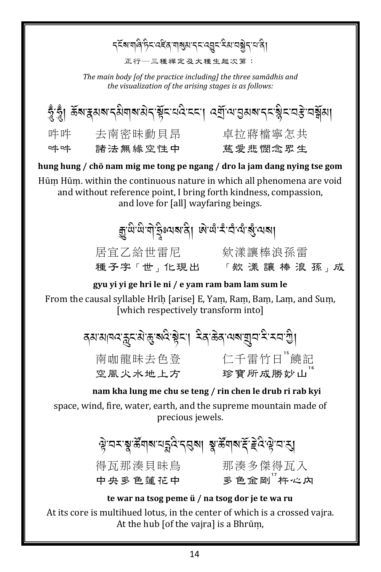### *ร*ุ देशयालै हेट दहेत या अरु दर द्वार देश यञ्जो दार्य ते। 正行--三種禪定及大種生起次第: The main body [of the practice including] the three samādhis and the visualization of the arising stages is as follows: ষ্ঠুঁত্ত্ব। ৰ্ক্তমন্নমৰান্ত্ৰমাৰান্দ্ৰমান্দ্ৰমান্ত্ৰমান্ত্ৰমান্দ্ৰমান্দ্ৰমান্দ্ৰমান্দ্ৰমান্ 吽吽 去南密昧動貝昂 卓拉蔣檔寧怎共 吽吽 諸法無緣空性中 慈愛悲憫念眾生 hung hung / chö nam mig me tong pe ngang / dro la jam dang nying tse gom Hūm Hūm. within the continuous nature in which all phenomena are void and without reference point, I bring forth kindness, compassion, and love for [all] wayfaring beings.

ক্ৰুন্দ্ৰিয়ান্দ্ৰী স্থাৰ বিদ্যালয় জন্ম কৰি বিদ্যালয় 居宜乙給世雷尼 欸漾讓棒浪孫雷<br>種子字「世」 化現出 「欸 漾 讓 棒 浪 孫」 成

gyu yi yi ge hri le ni / e yam ram bam lam sum le

From the causal syllable Hrih [arise] E, Yam, Ram, Bam, Lam, and Sum, [which respectively transform into]

| वहा बागवर क्रुदाञ्चा बुद्धाञ्चेदा। देव क्रेव त्वत्राज्ञीय दे दया ग्री |          |
|-----------------------------------------------------------------------|----------|
| 南咖龍昧去色登                                                               | 仁千雷竹日"饒記 |
| 空風火水地上方                                                               | 珍寶所成勝妙山  |

nam kha lung me chu se teng / rin chen le drub ri rab kyi space, wind, fire, water, earth, and the supreme mountain made of precious jewels.

> से पर शुद्धाय पत्रुत र बया श्रद्धाय दे हैं दुखे पत्र 得瓦那湊貝昧鳥 那湊多傑得瓦入<br>中央多色蓮花中 多色金剛<sup>"</sup>杵~?内

#### te war na tsog peme ü / na tsog dor je te wa ru

At its core is multihued lotus, in the center of which is a crossed vajra. At the hub [of the vaira] is a Bhrūm,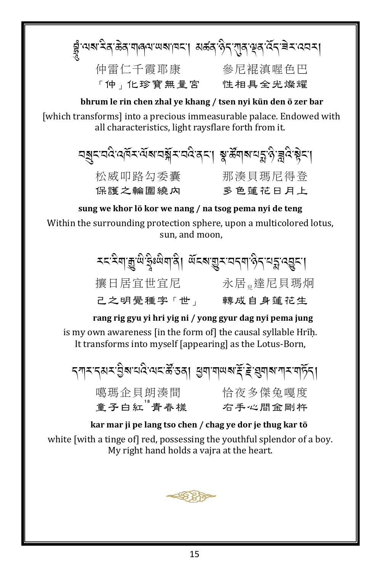|           | ฮู้ :यब देव केव गावय सबाय । अर्कव केन राज सव देन बेन :दयन । |
|-----------|-------------------------------------------------------------|
| 仲雷仁千霞耶康   | 參尼裩滇喔色巴                                                     |
| 「仲」化珍寶無量宮 | 性相具全光燦耀                                                     |

bhrum le rin chen zhal ye khang / tsen nyi kün den ö zer bar [which transforms] into a precious immeasurable palace. Endowed with all characteristics, light raysflare forth from it.

| चङ्जदावदे विद्यः जूथत्रं दावदुर्वतः। श्रुञ्जूलं वर्द्धियुद्धा |         |
|---------------------------------------------------------------|---------|
| 松威叩路勾委囊                                                       | 那湊貝瑪尼得登 |
| 保護之輪圍繞內                                                       | 多色蓮花日月上 |

sung we khor lö kor we nang / na tsog pema nyi de teng Within the surrounding protection sphere, upon a multicolored lotus, sun, and moon,

| 攘日居宜世宜尼   | 永居 違尼貝瑪炯 |
|-----------|----------|
| 己之明覺種字「世」 | 轉成自身蓮花生  |

rang rig gyu yi hri yig ni / yong gyur dag nyi pema jung is my own awareness [in the form of] the causal syllable Hrīḥ. It transforms into myself [appearing] as the Lotus-Born,

|                     | <i>৲্যাম ৰেমম প্ৰিৰ বাবে ৰাম উ</i> ত্তৰ। প্ৰশাসাল <i>য় উ</i> ন্নি বিদ্যালয় কৰি বা |
|---------------------|-------------------------------------------------------------------------------------|
| 噶瑪企貝朗湊間<br>童子白紅"青春樣 | 恰夜多傑兔嘎度                                                                             |
|                     | 右手心間金剛杵                                                                             |

kar mar ji pe lang tso chen / chag ye dor je thug kar tö white [with a tinge of] red, possessing the youthful splendor of a boy. My right hand holds a vaira at the heart.

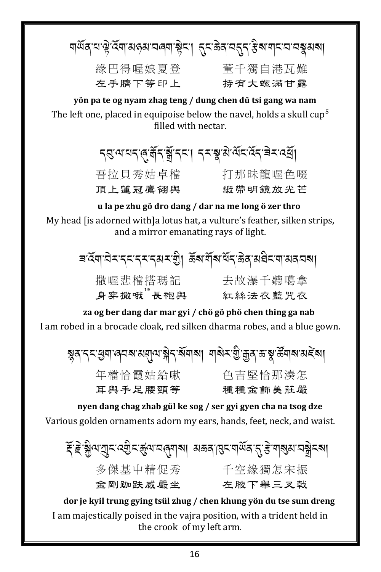|         | য়ড়৶ৼঢ়ড়ৢঢ়ঢ়য়ঀড়য়ৼঀঢ়য়ৗড়ৢৼয়৸৸ড়ৼঢ়৻ড়৸ৼঢ়ঢ়ড়য়৸ঢ় |
|---------|------------------------------------------------------------|
| 緣巴得喔娘夏登 | 童千獨自港瓦難                                                    |
| 左手臍下等印上 | <i>持有</i> 大螺滿甘露                                            |

yön pa te og nyam zhag teng / dung chen dü tsi gang wa nam The left one, placed in equipoise below the navel, holds a skull cup<sup>5</sup> filled with nectar.

**८** अन्यत अर्थ । र अप्रमुख प्रत्य स्वयं स्वयं प्रति।

頂上蓮冠鷹翎與

吾拉貝秀姑卓檔 打那昧龍喔色啜 緞 帶 明 鏡 放 光 芒

### u la pe zhu gö dro dang / dar na me long ö zer thro

My head [is adorned with]a lotus hat, a vulture's feather, silken strips, and a mirror emanating rays of light.

> ৰ ব্লিম্বিম্বন্দ্ৰ্দ্ৰ্ম্ব্ৰ্ম্ম্ভি৷ ৰ্ক্তমাৰ্শ্বিষ্ট্ৰ্ম্ব্ৰ্ম্ব্ৰিম্ব্ৰ্ম্ম্ব্ৰ 撒喔悲檔搭瑪記 去故瀑千聽噶拿 身穿撒哦"長袍與 紅絲法衣藍咒衣

za og ber dang dar mar gyi / chö gö phö chen thing ga nab I am robed in a brocade cloak, red silken dharma robes, and a blue gown.

য়ৢঌ<sup>੶</sup>৲৲ৼৢঀঀ৾৾৽ঀয়৽য়য়য়ৣ৻৸৾য়ৼ৾৴য়য়৾য়৸৸য়৾য়ৼড়ৢ৾৾৽য়ৣ৾৽ৼড়ৢ<sup>৻</sup>ৼৣ৸৶ড়ৼৢয়৾ 色吉堅恰那湊怎 年檔恰霞姑給嗽 耳與手足腰頸等 種種金飾美莊嚴

nyen dang chag zhab gül ke sog / ser gyi gyen cha na tsog dze Various golden ornaments adorn my ears, hands, feet, neck, and waist.

*हॅ हे* ब्लैज युदःदर्शन् र्हुवः चलु्यात्रा अक्षत्राह्मद्वार्यवाद् से याञ्च्यात्रञ्जन्त्रा 多傑基中精促秀 千空緣獨怎宋振 **余剛跏趺威嚴坐** 左腋下舉三ヌ戟

dor je kyil trung gying tsül zhug / chen khung yön du tse sum dreng I am majestically poised in the vajra position, with a trident held in the crook of my left arm.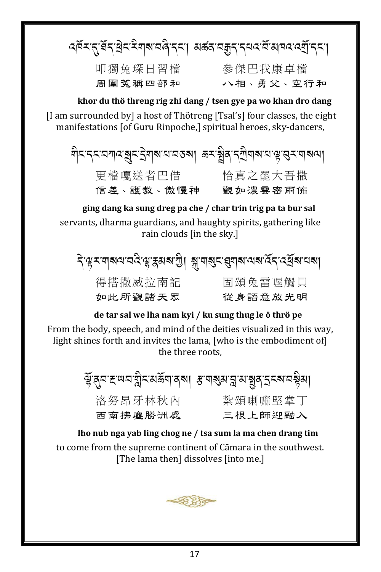त्त्रं र तुर्भेद सेद देवाब वर्षे दया अर्क्ष्य वक्कुत दयत्व आवत् त्युं दया

周圍 菟 稱 四 部 和

叩獨兔琛日習檔 參傑巴我康卓檔 八相、勇父、空行和

khor du thö threng rig zhi dang / tsen gye pa wo khan dro dang [I am surrounded by] a host of Thötreng [Tsal's] four classes, the eight manifestations [of Guru Rinpoche,] spiritual heroes, sky-dancers,

ঘীনন্দৰেশ্বস্তুনইশৰাৰাৰতৰা ভ্ৰমষ্ট্ৰৰান্মীনাৰাৰাঞ্জন্মৰাৰাণা 更檔嘎送者巴借 恰真之罷大吾撒 信差、護教、傲慢神 觀如濃雲密雨佈

ging dang ka sung dreg pa che / char trin trig pa ta bur sal servants, dharma guardians, and haughty spirits, gathering like rain clouds [in the sky.]

देख्या वाराय विद्युक्त अर्था । बाराय संवाद्य विद्यालय क्षय 得搭撒威拉南記 固頌兔雷喔觸貝 如此所觀諸天眾 從身語意放光明

de tar sal we lha nam kyi / ku sung thug le ö thrö pe

From the body, speech, and mind of the deities visualized in this way, light shines forth and invites the lama, [who is the embodiment of] the three roots.

|         | भ्रॅञुव द रूपव स्नैद अङ्गवह्रुवा <i>ह</i> गङ्गब्रुव स्नैद्र देख वर्षेत्रा |
|---------|---------------------------------------------------------------------------|
| 洛努昂牙林秋内 | 紮頌喇嘛堅掌丅                                                                   |
| 西南拂塵勝洲處 | 三根上師迎融入                                                                   |

lho nub nga yab ling chog ne / tsa sum la ma chen drang tim to come from the supreme continent of Cāmara in the southwest. [The lama then] dissolves [into me.]

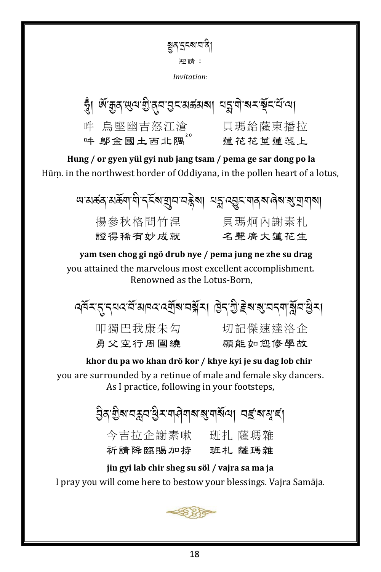য়ৄঀ৾৾ৼৢৼ৶৸ৢ 迎請: Invitation:

| স্ত্ৰী প্ৰয়ন্ত্ৰ জিৱা প্ৰয়োগৰ প্ৰয়োগৰ স্থান প্ৰয়োগৰ |               |
|---------------------------------------------------------|---------------|
| 吽 鳥堅幽吉怒江滄                                               | 貝瑪給薩東播拉       |
| 吽 鄔金國土西北隅 <sup>"</sup>                                  | 蓮 花 花 莖 蓮 蕊 上 |

Hung / or gyen yül gyi nub jang tsam / pema ge sar dong po la Hūm. in the northwest border of Oddivana, in the pollen heart of a lotus,

| অ'ঝৰ্ক্ক'ঝৰ্ক্কিন্'ণী'ৰ্ব্ৰ্হক'যুন'নক্কিমা মন্ন'ৰ্য্ন্ত্ৰ্ৰ'নাৰ্ব্ৰ'ৰ্জ'ন্মনাৰা |               |
|---------------------------------------------------------------------------------|---------------|
| 揚參秋格問竹涅                                                                         | 貝瑪炯內謝素札       |
| 證 得 稀 有 妙 成 就                                                                   | 名 聲 厝 大 蓮 花 生 |

yam tsen chog gi ngö drub nye / pema jung ne zhe su drag you attained the marvelous most excellent accomplishment. Renowned as the Lotus-Born,

ৰ্ঘমন্ত্ৰসমৰ মানৱৰে মুখবয়স্থাৰ। উদ্ক্ৰিয় প্ৰবেশ য়ন্ত্ৰসা

叩獨巴我康朱勾 切記傑速達洛企 勇父空行周圍繞

願能如您修學故

### khor du pa wo khan drö kor / khye kyi je su dag lob chir you are surrounded by a retinue of male and female sky dancers.

As I practice, following in your footsteps,

ট্ৰি'গ্ৰীৰ নক্ষ্ম খ্ৰীৰ মানীৰ প্ৰাৰম্ভিত নামৰ বি 今吉拉企謝素嗽 班扎 薩瑪雜 祈請降臨賜加持 班札 薩瑪雜

jin gyi lab chir sheg su söl / vajra sa ma ja I pray you will come here to bestow your blessings. Vajra Samāja.

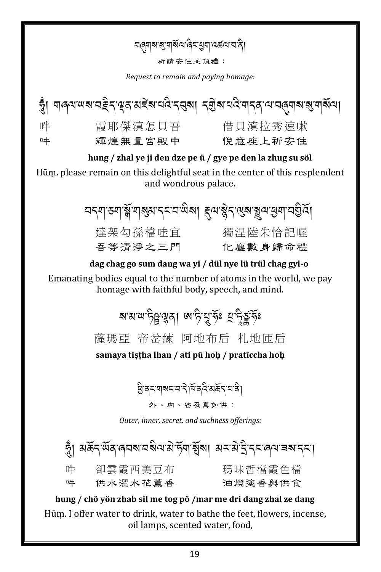### <u></u>द्भाबाबुषाबॅल्यलेन्डुबाद्ब्ब्यादाते।

祈請安住並頂禮:

Request to remain and paying homage:



Hūm. please remain on this delightful seat in the center of this resplendent and wondrous palace.

| <u> নব্</u> মাতমার্শ্লীমাৰ্শ্বমাৰ্দ্দান্ত্রীৰা ইন্দ্রীপ্রন্থিত্রী ক্রিয়া নত্রীবৃ |         |
|-----------------------------------------------------------------------------------|---------|
| 達架勾孫檔哇宜                                                                           | 獨涅陸朱恰記喔 |
| 吾等清淨之三門                                                                           | 化塵數身歸命禮 |

dag chag go sum dang wa yi / dül nye lü trül chag gyi-o Emanating bodies equal to the number of atoms in the world, we pay homage with faithful body, speech, and mind.

> ষামাত্ৰাটুম্বুৰা অ'টামুৰ্ক্টঃ ম্ৰাটুৰ্ক্টফি 薩瑪亞 帝岔練 阿地布后 札地匝后 samaya tiştha lhan / ati pü hoh / pratīccha hoh

> > ষ্ট্ৰিকশাৰ্মনমন্দিৰ্বিক্ষইনমৰী।

外、内、密及真如供:

Outer, inner, secret, and suchness offerings:

হ্ব। মৰ্ক্ৰন্'ৰ্শ্ব'ৰ্নৰম'নৰীম'মণ্ট্ৰম্'ৰ্শ্বৰ্শ মন'মীই'ন্ন'ৰ্ম'ৰ্ম'ন্ন'। 瑪昧哲檔霞色檔 吽 卻雲霞西美豆布 吽 供水濯水花薰香 油燈塗香與供食

hung / chö yön zhab sil me tog pö /mar me dri dang zhal ze dang Hūm. I offer water to drink, water to bathe the feet, flowers, incense, oil lamps, scented water, food,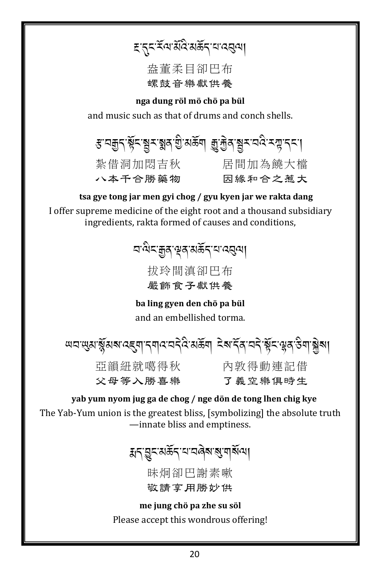*ह् दुदर्भित्यसे*विरुक्किन् यादसुत्या

### 盎董柔目卻巴布 螺鼓音樂獻供養

nga dung röl mö chö pa bül

and music such as that of drums and conch shells.

*इ* অক্সব্ৰহ্ম ইয়ে এই প্ৰত্য আৰু বিত্ৰা বিদ্যাপন। 紮借洞加悶吉秋 - 居間加為饒大檔 八本千合勝藥物 因緣和合之惹大

tsa gye tong jar men gyi chog / gyu kyen jar we rakta dang

I offer supreme medicine of the eight root and a thousand subsidiary ingredients, rakta formed of causes and conditions,

> *ব*'শ্বিহ'ক্কুৰ্'শ্বৰ্মৰ্ক্ষ<sub>্</sub>য'ব্বেন্ম| 扰玲間淔卻巴布

嚴飾食子獻供養

ba ling gyen den chö pa bül and an embellished torma.

亞韻紐就噶得秋 內敦得動連記借 父母等入勝喜樂

了義空樂俱時生

yab yum nyom jug ga de chog / nge dön de tong lhen chig kye The Yab-Yum union is the greatest bliss, [symbolizing] the absolute truth -innate bliss and emptiness.

য়৲ড়ৢ৲য়ঌ৾ঽৼঀড়৶৶য়ৼয়য়য়

昧炯卻巴謝素嗽 敬請宴用勝妙供

me jung chö pa zhe su söl Please accept this wondrous offering!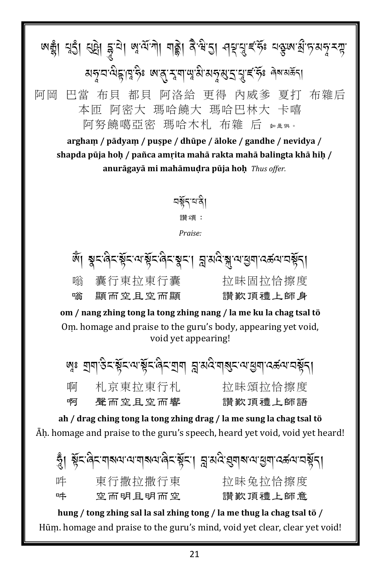ন্দ্রী বঁহী। প্রদ্বী স্থান্দ্রু, বাড়ী বুরু, প্রাই, বিন্ন বুরুনে স্থান্দ্র ক্ষী মন্বুনন্দ্রিষ্টিঃ <mark>অ</mark>ত্ত্বেশ্বাত্ম্বীমন্বুম্ব্রন্থাই ইঃ নিম্মক্তন্য A 阿岡 巴當 布貝 都貝 阿洛給 更得 內威爹 夏打 布雜后 本匝 阿密大 瑪哈饒大 瑪哈巴林大 卡嘻 阿努饒噶亞密 瑪哈木札 布雜 后 如是供。

**arghaṃ / pādyaṃ / puṣpe / dhūpe / āloke / gandhe / nevidya / shapda pūja hoḥ / pañca amṛita mahā rakta mahā balingta khā hiḥ / anurāgayā mi mahāmuḍra pūja hoḥ** *Thus offer.*

> নৰ্শ্নসং 讚頌: *Praise:*

খঁ। স্বম্পিমশ্বীম্পান্নমান মুক্তি প্ৰায়ন্ত্ৰণ কৰে বি A Contract of the contract of the contract of the contract of the contract of the contract of the contract of the contract of the contract of the contract of the contract of the contract of the contract of the contract of .<br>.<br>. 嗡 囊行東拉東行囊 拉昧固拉恰擦度 嗡 顯而空且空而顯 讚歎頂禮上師身

**om / nang zhing tong la tong zhing nang / la me ku la chag tsal tö** Oṃ. homage and praise to the guru's body, appearing yet void, void yet appearing!

জ্বঃ শ্রমাস্তিহস্কুঁহস্পেইবার্ম স্লার্মান্ত মান্ত মান্ত মান্ত মান্ত বিদ্বা .<br>.<br>. .<br>.<br>. 啊 札京東拉東行札 拉昧頌拉恰擦度 啊 聲而空且空而響 讚歎頂禮上師語

**ah / drag ching tong la tong zhing drag / la me sung la chag tsal tö** Āḥ. homage and praise to the guru's speech, heard yet void, void yet heard!

 $\tilde{\tilde{z}}$ । ৡ̃<`ଜ଼ି<`ন্মৰ্শন্যমান্মৰ্শিক্ষিত্ৰ' স্ত্ৰীৰ্শিক্ষিত্ৰৰাত্মৰ্শনেষ্ঠূ $\tilde{\gamma}$ । .<br>.<br>. .<br>.<br>. 吽 東行撒拉撒行東 拉昧兔拉恰擦度 吽 空而明且明而空 讚歎頂禮上師意

**hung / tong zhing sal la sal zhing tong / la me thug la chag tsal tö /** Hūṃ. homage and praise to the guru's mind, void yet clear, clear yet void!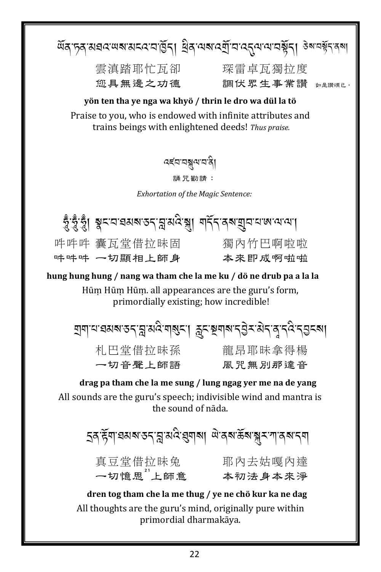**雲滇踏耶忙瓦卻 琛雷卓瓦獨拉度** 您具無邊之功德

調伏眾生事業讚 如是讚頌已,

#### yön ten tha ye nga wa khyö / thrin le dro wa dül la tö

Praise to you, who is endowed with infinite attributes and trains beings with enlightened deeds! Thus praise.

*বৰ্*ববন্ধুৰত্নবি।

誦 咒 勸 請:

**Exhortation of the Magic Sentence:** 



hung hung hung / nang wa tham che la me ku / dö ne drub pa a la la

Hūm Hūm Hūm. all appearances are the guru's form. primordially existing; how incredible!

য়৸৸য়য়য়ৼঽ৴য়৸ড়৸৶ৼৗ৾ড়ৼয়৸ৼ৴ঀ৸৸৸৸৸৸৸

| 札巴堂借拉昧孫 | 龍昂耶昧拿得楊 |
|---------|---------|
| 一切音聲上師語 | 風咒無別那達音 |

drag pa tham che la me sung / lung ngag yer me na de yang All sounds are the guru's speech; indivisible wind and mantra is the sound of nada.

> 真豆堂借拉昧兔 耶內去姑嘎內達<br>一切憶思"上師意 本初法身本來淨

dren tog tham che la me thug / ye ne chö kur ka ne dag All thoughts are the guru's mind, originally pure within primordial dharmakāya.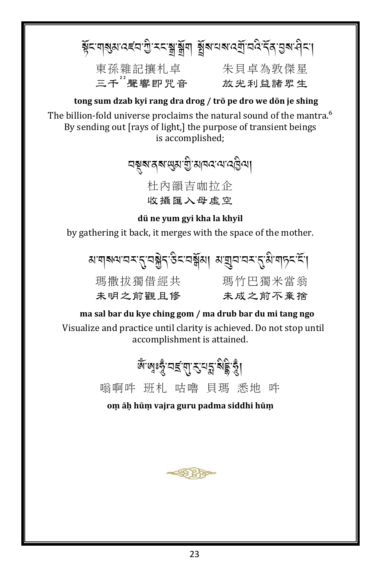## ষ্ট্ৰনশৰ্থম বৰ্নে শ্ৰু মন্ত্ৰশ্বৰ্শ বুৰি নৰ প্ৰেন্দ্ৰ বিদ্ৰোপন কৰা

東孫雜記攘札卓 朱貝卓為敦傑星<br>**三千<sup>2</sup>聲響即咒音 放光利益諸**眾生

### tong sum dzab kyi rang dra drog / trö pe dro we dön je shing

The billion-fold universe proclaims the natural sound of the mantra.<sup>6</sup> By sending out [rays of light,] the purpose of transient beings is accomplished;

> <u> নম্বুৰাৰ ৰা</u>জ্যোত্ৰীয়ানন্দে বেট্টিনা 杜內韻吉咖拉企 收攝匯入母虛空

dü ne yum gyi kha la khyil

by gathering it back, it merges with the space of the mother.

| য়য়য়৸য়ৼৼ৻ৢৼঽৗৢৼ৻ড়ৼৼ৻য়য়৸৸য়য়৸৸ৼ৻ৼ৻৻ড়ৢ৻য়৻য়ঢ়ৼ৻ৼৄ৻ |         |
|-----------------------------------------------------------|---------|
| 瑪撒拔獨借經共                                                   | 瑪竹巴獨米當翁 |
| 未明之前觀且修                                                   | 未成之前不棄捨 |

ma sal bar du kye ching gom / ma drub bar du mi tang ngo Visualize and practice until clarity is achieved. Do not stop until accomplishment is attained.



om āḥ hūm vajra guru padma siddhi hūm

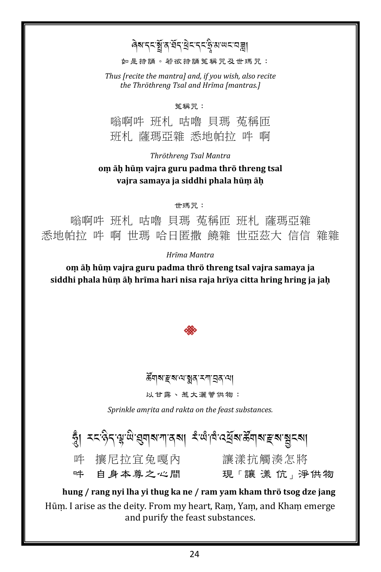### ৰিম'নমন্ত্ৰীৰ'ৰ্ষন'ৰ্ষমন্ব'ৰ অধ্যাত্মৰা

如是持誦。若欲持誦菟稱咒及世瑪咒:

*Thus [recite the mantra] and, if you wish, also recite the Thröthreng Tsal and Hrīma [mantras.]*

菟稱咒:

嗡啊吽 班札 咕嚕 貝瑪 菟稱匝 班札 薩瑪亞雜 悉地帕拉 吽 啊

*Thröthreng Tsal Mantra*

#### **oṃ āḥ hūṃ vajra guru padma thrö threng tsal vajra samaya ja siddhi phala hūṃ āḥ**

世瑪咒:

嗡啊吽 班札 咕嚕 貝瑪 菟稱匝 班札 薩瑪亞雜 悉地帕拉 吽 啊 世瑪 哈日匿撒 饒雜 世亞茲大 信信 雜雜

*Hrīma Mantra*

**oṃ āḥ hūṃ vajra guru padma thrö threng tsal vajra samaya ja siddhi phala hūṃ āḥ hrīma hari nisa raja hrīya citta hring hring ja jaḥ**



### ക്শৰ'ङ्कर' আৰু স্মান্ত বি'আ

以甘露、惹大灑薈供物:

*Sprinkle amṛita and rakta on the feast substances.*

 $\tilde{\tilde{z}}$ । মনজিন্দুন্দ্ৰ'ন্দ্ৰাৰাশাৰ্মা নাৰ্দ্ৰ'নেৰ্দ্ৰৰাজ্যৰ ক্ষম স্ক্ৰীয়ে। .<br>. 吽 攘尼拉宜兔嘎內 讓漾抗觸湊怎將<br>吽 自身本尊之心間 現「讓 漾 伉」淨 現「讓 漾 伉」淨供物

 **hung / rang nyi lha yi thug ka ne / ram yam kham thrö tsog dze jang** Hūṃ. I arise as the deity. From my heart, Raṃ, Yaṃ, and Khaṃ emerge and purify the feast substances.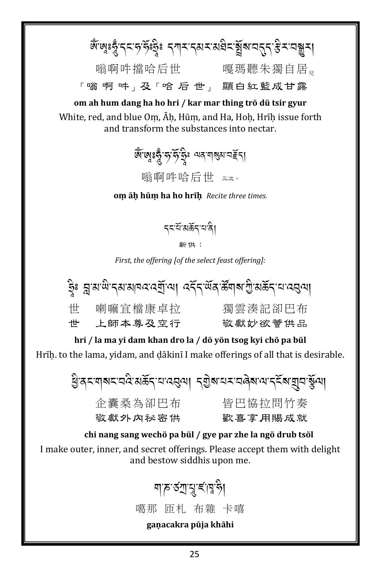জ্ঞাঃ দুঁ: বৃত্ত পূঃষ্টুঃ বৃশ্ব ব্রমব্যমন্ত্র শ্বীষা মন্ত্র ই ব্যবস্তু ব্য 嗡啊吽擋哈后世 嘎瑪聽朱獨自居<sub>児</sub> 「嗡 啊 吽」及「哈 后 世」 顯白紅藍成甘露 om ah hum dang ha ho hri / kar mar thing trö dü tsir gyur White, red, and blue Om, Ah, Hum, and Ha, Hoh, Hrih issue forth

and transform the substances into nectar.

জেজেঃরুঁত্বস্থিঃ অন্যান্তম নইনা 嗡啊吽哈后世 三次。

om äh hūm ha ho hrīh Recite three times.

*ॸ*ॸॱय़ॕॱॺॾॕॸॱय़ॱॺऀॖ

新 <sub>1</sub>:

First, the offering [of the select feast offering]:

|    |         | ষ্ট্ৰঃ ব্ল'ষ'ন্দি'ন্ম'মানব'ৰ্য্মী'আৰা ৰ্ব্ৰ্ন্ ব্ল'ৰ্ম্ৱ'ৰ্ম্ম শ্ৰী'মৰ্ক্তন্'ন'ৰ্ব্ৰ্ন্থা |
|----|---------|-------------------------------------------------------------------------------------------|
| 世  | 喇嘛宜檔康卓拉 | 獨雲湊記卻巴布                                                                                   |
| ╫╋ | 上師本尊及空行 | 敬獻妙欲薈供品                                                                                   |

hri / la ma yi dam khan dro la / dö yön tsog kyi chö pa bül Hrīh. to the lama, yidam, and dākinī I make offerings of all that is desirable.

हु वटणबट वर्ष सक्कर वादवया। दशुबायर वर्षेबाय दर्दे बागुवार्युया 企囊桑為卻巴布 皆巴協拉問竹奉 敬獻外內祕密供 歡喜享用賜成就

chi nang sang wechö pa bül / gye par zhe la ngö drub tsöl I make outer, inner, and secret offerings. Please accept them with delight and bestow siddhis upon me.

> য়ঢ়ড়ৗৢঀৢৼৗঀৢড়ৗ 噶那 匝札 布雜 卡嘻 gaņacakra pūja khāhi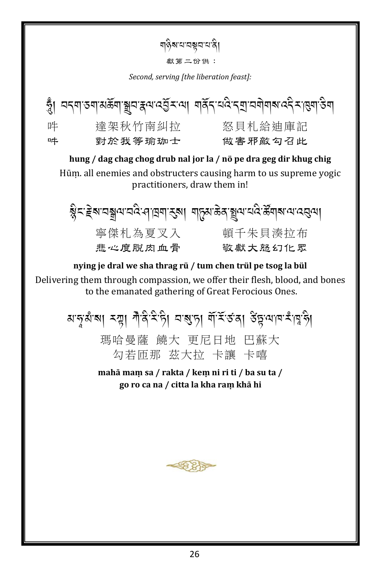- য়ৡ৶য়য়য়য়৸ৡ
	- 獻第二份供:

Second, serving [the liberation feast]:



hung / dag chag chog drub nal jor la / nö pe dra geg dir khug chig Hūm. all enemies and obstructers causing harm to us supreme vogic practitioners, draw them in!

|         | ब्लैट:ड्रेब:चब्जुव:चदे:नाञ्चण रुबा  बार्टिश:क्रुत्रे ब्रिज:चद्र:क्रूय ब:ज:वस्त्वा |
|---------|-----------------------------------------------------------------------------------|
| 寧傑札為夏叉入 | 頓千朱貝湊拉布                                                                           |
| 悲心度脱肉血骨 | 敬獻大怒幻化眾                                                                           |

nying je dral we sha thrag rü / tum chen trül pe tsog la bül Delivering them through compassion, we offer their flesh, blood, and bones to the emanated gathering of Great Ferocious Ones.

> बालुबांबा स्या गैंदिसेला वाबुला गॅसिंडवा डेंट्सपाय साप्तेश 瑪哈曼薩 饒大 更尼日地 巴蘇大 勾若匝那 茲大拉 卡讓 卡嘻

> > mahā mam sa / rakta / kem ni ri ti / ba su ta / go ro ca na / citta la kha ram khā hi

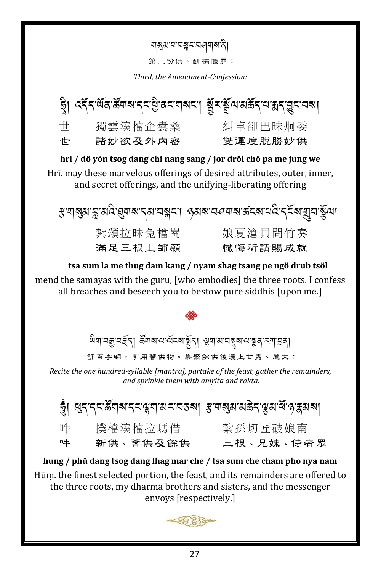য়য়য়য়য়য়য়ৼ

第三份供,酬補懺罪:

Third, the Amendment-Confession:

|      | ষ্ট্ৰা এইন্ অন্ত উনাৰ নহাৰ্ট্ৰান নাৰান্য স্থিত স্থান কৰা বিদ্যোগ্ন কৰা |         |
|------|------------------------------------------------------------------------|---------|
| 世    | 獨雲湊檔企囊桑                                                                | 糾卓卻巴昧炯委 |
| ╶┼╫╍ | 諸妙欲及外内密                                                                | 雙運度脱勝妙供 |

hri / dö yön tsog dang chi nang sang / jor dröl chö pa me jung we Hrī, may these marvelous offerings of desired attributes, outer, inner, and secret offerings, and the unifying-liberating offering

|         | ङ गञ्जुब न्नु बदि ह्याब दब चङ्गदा <i>अ</i> वब चलबाब क्षेत्र दक्ष बाँच क्रुँग। |
|---------|-------------------------------------------------------------------------------|
| 紮頌拉昧兔檔崗 | 娘夏滄貝問竹奏                                                                       |
| 滿足三根上師願 | 懺悔祈請賜成就                                                                       |

tsa sum la me thug dam kang / nyam shag tsang pe ngö drub tsöl mend the samayas with the guru, [who embodies] the three roots. I confess all breaches and beseech you to bestow pure siddhis [upon me.]

ঞ্জিনা প্ৰমাণ সূত্ৰ প্ৰাৰম্ভিত কৰা সম্ভাৱী সম্ভাৱন কৰা সম্ভাৱন

誦百字明,享用薈供物。集聚餘供後灑上甘露、惹大:

Recite the one hundred-syllable [mantra], partake of the feast, gather the remainders, and sprinkle them with amrita and rakta.

|   | খ্ৰী ধনন্দউনামন্দঞ্জনামমত্ৰমা স্তত্ত্বাস্থম মন্তন্ত্ৰস্থা মন্ত্ৰস্থা |           |
|---|----------------------------------------------------------------------|-----------|
| 吽 | 撲檔湊檔拉瑪借                                                              | 紮孫切匠破娘南   |
| 吽 | 新供、薈供及餘供                                                             | 三根、兄妹、侍者眾 |

hung / phü dang tsog dang lhag mar che / tsa sum che cham pho nya nam Hūm. the finest selected portion, the feast, and its remainders are offered to the three roots, my dharma brothers and sisters, and the messenger envoys [respectively.]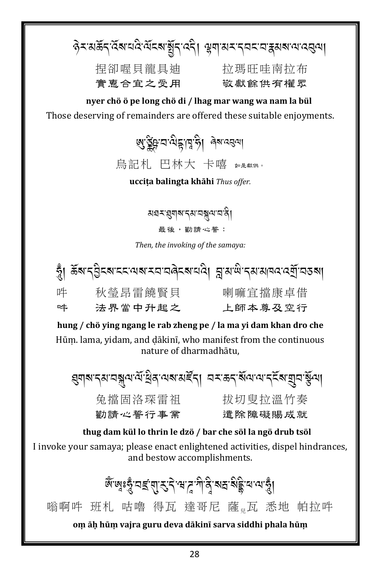ৡ৾<u>ৼ</u>ॱয়৾ঌঢ়৾৻ড়ৢ৶য়ড়৻ড়য়য়য়য়য়য়৾য়৸ৼঀৼ৸ৼৼঢ়ড়ড়৸৸ **捏卻喔貝龍具油 抗瑪旺哇南拉布** 實惠合宜之受用 敬獻餘供有權眾

nyer chö ö pe long chö di / lhag mar wang wa nam la bül Those deserving of remainders are offered these suitable enjoyments.

ย รัฐบางราช 31 คิล 25 1

烏記札 巴林大 卡嘻 如是默然。

uccița balingta khāhi Thus offer.

য়য়ৼয়ৢয়য়ৼ৻য়ড়ৠ৸য়ৼ 最後,勸請心誓:

Then, the invoking of the samaya:

|   | স্ত্ৰী ভূপাৰ্থীৰৰ বৰে পৰা স্বাভাৱৰ পৰা প্ৰাপাল্ল প্ৰয়োগৰ প্ৰেন্ন কৰা |         |
|---|-----------------------------------------------------------------------|---------|
| 吽 | 秋瑩昂雷饒賢貝                                                               | 喇嘛宜擋康卓借 |
| 吽 | 法界當中升起之                                                               | 上師本尊及空行 |

hung / chö ying ngang le rab zheng pe / la ma yi dam khan dro che Hūm. lama, yidam, and dākinī, who manifest from the continuous nature of dharmadhātu.

য়৸৶ৼ৴৸য়৾ৼ৻৸৻৸ৣঀ৸৻৸৸ৼৼৢৼৗ৴৸৴৻ৼঀ৻৸৻৸৻৸ৼ৻ৼ৸য়৾৵৻ 兔擋固洛琛雷祖 拔切叟拉溫竹奏 勸請心誓行事業 遣除障礙賜成就

### thug dam kül lo thrin le dzö / bar che söl la ngö drub tsöl

I invoke your samaya; please enact enlightened activities, dispel hindrances, and bestow accomplishments.

&ঁজঃৼৢ৾*ॱ*⊐ॾ॔ॱয়়ॱৼৢ<sup>৻</sup>৲য়৴ৢ<sup>৵</sup>ঀ৾ৼৢ৾ৼয়ঽ<sup>৻</sup>য়৾ৄৼয়৻৸ৼৢ৾৾।

嗡啊吽 班札 咕嚕 得瓦 達哥尼 薩 瓦 悉地 帕拉吽

om āḥ hūm vajra guru deva dākinī sarva siddhi phala hūm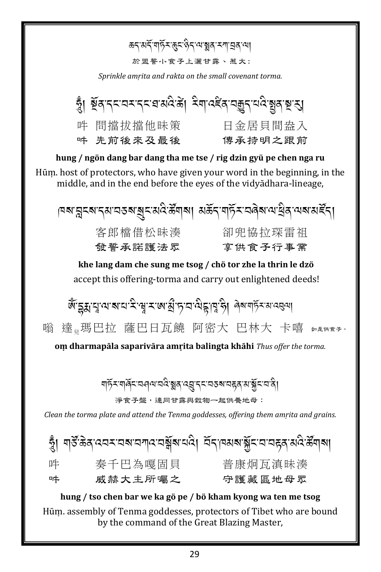*ঌ*ॸॱॺॸॕॱॺफ़ॕॖॸॱक़ॖॸॱऀढ़ॸॱॺॱॺॗॺॱॸॺॱय़ॖॺॱॺऻ 於盟誓小食子上灑甘露、惹大: Sprinkle amrita and rakta on the small covenant torma. 吽 問擋拔擋他昧策 日金居貝間盎入 吽 先前後來及最後 傳承持明之跟前 hung / ngön dang bar dang tha me tse / rig dzin gyü pe chen nga ru Hūm, host of protectors, who have given your word in the beginning, in the middle, and in the end before the eyes of the vidyadhara-lineage, |¤ঝ'ন্লুহঝ'ব্ঝ'বতৰ'ৰুহ'মবি'ৰ্স্কীশৰা মৰ্ক্তব্'শৰ্চ্য-'বৰ্ৰম'ন'থ্ৰিব'ন্মৰামৰ্ইব্। 客郎檔借松昧湊 卻兜協拉琛雷祖 發誓承諾護法眾 享供食子行事業 khe lang dam che sung me tsog / chö tor zhe la thrin le dzö accept this offering-torma and carry out enlightened deeds! জুঁহুয়ামুত্মবাহাই সুমাজন্মী দামত্বন্দ্ব দুটা বিৰাণ্ট্ৰ অত্যা 嗡 達照巴拉 薩巴日瓦饒 阿密大 巴林大 卡嘻 如果除不 om dharmapāla saparivāra amrita balingta khāhi Thus offer the torma. ॺॸॖॕऽॱॺऻॺॕॖऽॱय़ॶॺॱय़ॺऀॱॺॗॺॱढ़य़ॗॱॸड़ॱय़ड़ॺॱय़ड़ॺॱॺॱॺॕॗड़ॱय़ॱॺऀॖ 淨食子盤,連同甘露與穀物一起供養地母: Clean the torma plate and attend the Tenma goddesses, offering them amrita and grains. হ্ব। শইক্তির বেমমনমানমন্বর্মুৰ নবি। মন্ত্রানমৰ মুঁমমনেদ্ব মবির্জিনাৰা 秦千巴為嘎固貝 普康炯瓦滇昧湊 吽 。<br>守護藏區地母眾

hung / tso chen bar we ka gö pe / bö kham kyong wa ten me tsog Hūm. assembly of Tenma goddesses, protectors of Tibet who are bound by the command of the Great Blazing Master,

威赫大主所囑之

哄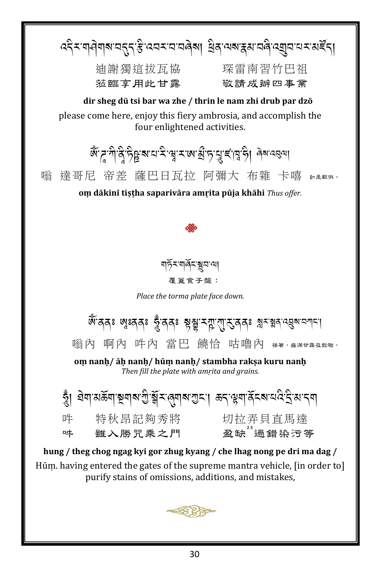द्देन गयेगबायतुन है दयमायावेबा विवायबाह्याववे द्युवायमार्यहेन्। 油謝獨狺拔瓦協 琛雷南習竹巴祖 蒞臨享用此甘露 敬請成辦四事業 dir sheg dü tsi bar wa zhe / thrin le nam zhi drub par dzö please come here, enjoy this fiery ambrosia, and accomplish the four enlightened activities. कैं दूर गोवु हेट्टू बाय दे सू राषा हो हायू दाव है। बेब दस्या 嗡 達哥尼 帝差 薩巴日瓦拉 阿彌大 布雜 卡嘻 如是概略 om dākinī tistha saparivāra amrita pūja khāhi Thus offer. <u> বাৰ্</u>চসাৰ্যৰ আৰু 覆蓋食子盤: Place the torma plate face down. জ্ঞবেৰঃ জঃবৰঃ ক্লুঁবৰঃ ষ্ণৃষ্ণু মন্লু'য়া্ মুৰষু শ্লুমন্নুৰ ব্ৰুমন্মদা 嗡內 啊內 吽內 當巴 饒恰 咕嚕內 #\*, #\*##&##。 om nanh/āḥ nanḥ/ hūṃ nanḥ/ stambha rakṣa kuru nanḥ Then fill the plate with amrita and grains. 吽 特秋昂記夠秀將 切拉弄貝直馬達 雖入勝咒乘之門 哄 hung / theg chog ngag kyi gor zhug kyang / che lhag nong pe dri ma dag / Hūm. having entered the gates of the supreme mantra vehicle, [in order to] purify stains of omissions, additions, and mistakes,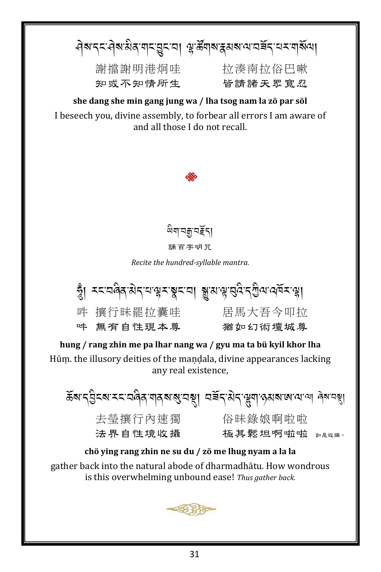नेबाददानेबाह्ययादाङ्कराया अञ्चलबाद्ययात्मादराय बाह्यया 謝擋謝明港炯哇 拉湊南拉俗巴嗽 知或不知情所生 皆請諸天眾寬忍

she dang she min gang jung wa / lha tsog nam la zö par söl I beseech you, divine assembly, to forbear all errors I am aware of and all those I do not recall.





Recite the hundred-syllable mantra.



hung / rang zhin me pa lhar nang wa / gyu ma ta bü kyil khor lha Hūm, the illusory deities of the mandala, divine appearances lacking any real existence.

ৰ্ক্তম'ন্ট্ৰন্ম'মন'নৰিৰ'শৰ্মমন্ত্ৰ'নস্থা নৰ্ন্ন'মন'স্ত্ৰমাজ'ম'না ৰম'নস্থা **去** 等 攘 行 內 涑 獨 \_ \_\_\_\_\_ 俗 昧 錄 娘 啊 啦 啦 法界自性境收攝 極其鬆坦啊啦啦 如是收摄。

chö ving rang zhin ne su du / zö me lhug nyam a la la gather back into the natural abode of dharmadhātu. How wondrous is this overwhelming unbound ease! Thus gather back.

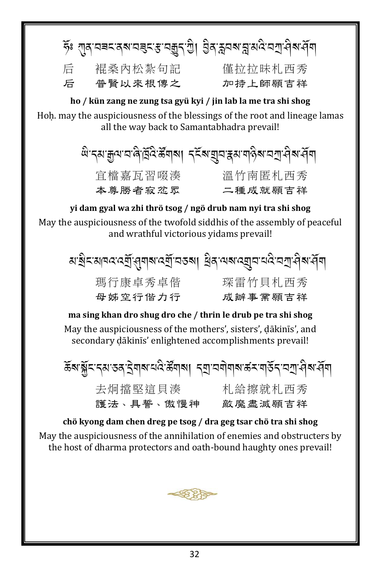|                                                                |         | ূষ্ণ থাৰ বৰমৰে মৰেমাৰ মন্ত্ৰু বুলি প্ৰি প্ৰদেশ প্ৰাপ্ত ব্ৰাপ্ত বুলি |
|----------------------------------------------------------------|---------|---------------------------------------------------------------------|
| 后                                                              | 裩桑內松紮句記 | 僅拉拉昧札西秀                                                             |
| 后                                                              | 普賢以來根傳之 | 加持上師願吉祥                                                             |
| ho / kün zang ne zung tsa gyü kyi / jin lab la me tra shi shog |         |                                                                     |

Hoh, may the auspiciousness of the blessings of the root and lineage lamas all the way back to Samantabhadra prevail!

> ঞ্জিত্ব্যক্কুন্মান্দ্ৰিষ্টি ক্ৰিমৰীৰা প্ৰমান্ত্ৰ স্থান্ত্ৰ স্থান্ত্ৰ স্থান্ত্ৰ স্থা 宜檔嘉瓦習啜湊 溫竹南匿札西秀 本尊勝者寂忿眾 二種成就願吉祥

yi dam gyal wa zhi thrö tsog / ngö drub nam nyi tra shi shog May the auspiciousness of the twofold siddhis of the assembly of peaceful and wrathful victorious yidams prevail!

| ঝ'ষ্ট্ৰম'ঝৰম'ৰ্মী'ৰ্য্ৰাৰ'ৰ্মী'নতৰা  ধ্ৰিন'ঝৰ'ৰ্মীন'নব'নস্ৰ'ৰ্বৰাৰ্ |         |
|---------------------------------------------------------------------|---------|
| 瑪行康卓秀卓偕                                                             | 琛雷竹貝札西秀 |
| 母姊空行偕力行                                                             | 成辦事業願吉祥 |

ma sing khan dro shug dro che / thrin le drub pe tra shi shog May the auspiciousness of the mothers', sisters', dākinīs', and secondary dākinīs' enlightened accomplishments prevail!

|           | ক্টৰ'ৰ্ক্সব'বৰ'বৰাৰ'নবিক্টৰাৰা ব্যানৰীৰাৰকস্বাৰ্ত্তব্'নস্ৰাধীৰাৰী |
|-----------|-------------------------------------------------------------------|
| 去炯擋堅這貝湊   | 札給擦就札西秀                                                           |
| 護法、具誓、傲慢神 | 敵 魘 盡 滅 願 吉 祥                                                     |

chö kyong dam chen dreg pe tsog / dra geg tsar chö tra shi shog Mav the auspiciousness of the annihilation of enemies and obstructers by the host of dharma protectors and oath-bound haughty ones prevail!

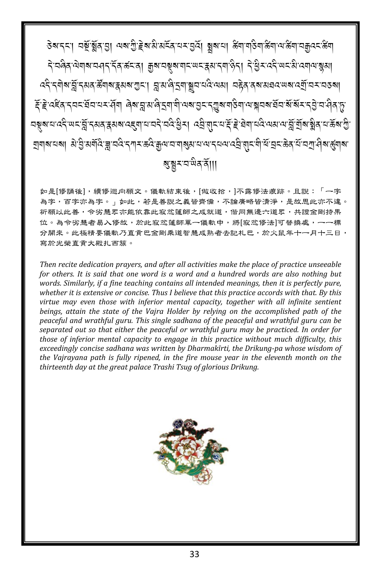如是[修誦後],續修迴向願文。儀軌結束後,[做收拾,]不露修法痕跡。且說:「一字 為字,百字亦為字。」如此,若是善説之義皆齊備,不論廣略皆清淨,是故思此亦不違。 祈願以此善,令劣慧眾亦能依靠此寂忿蓮師之成就道,偕同無邊六道眾,共證金剛持果 位。為令劣慧者易入修故,於此寂忿蓮師單一儀軌中,將[寂忿修法]可替換處,一一標 分開來。此極精要儀軌乃直貢巴金剛乘道智慧成熟者去記札巴,於火鼠年十一月十三日, 寫於光榮直貢大殿扎西簇。

Then recite dedication prayers, and after all activities make the place of practice unseeable for others. It is said that one word is a word and a hundred words are also nothing but words. Similarly, if a fine teaching contains all intended meanings, then it is perfectly pure, whether it is extensive or concise. Thus I believe that this practice accords with that. By this virtue may even those with inferior mental capacity, together with all infinite sentient beings, attain the state of the Vajra Holder by relying on the accomplished path of the peaceful and wrathful guru. This single sadhana of the peaceful and wrathful guru can be separated out so that either the peaceful or wrathful guru may be practiced. In order for those of inferior mental capacity to engage in this practice without much difficulty, this exceedingly concise sadhana was written by Dharmakīrti, the Drikung-pa whose wisdom of the Vairayana path is fully ripened, in the fire mouse year in the eleventh month on the thirteenth day at the great palace Trashi Tsug of glorious Drikung.